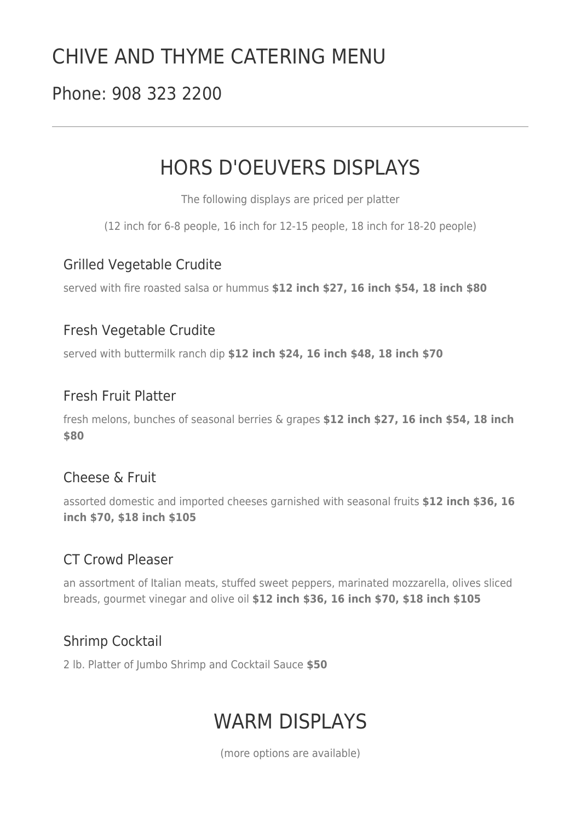# CHIVE AND THYME CATERING MENU

# Phone: 908 323 2200

# HORS D'OEUVERS DISPLAYS

The following displays are priced per platter

(12 inch for 6-8 people, 16 inch for 12-15 people, 18 inch for 18-20 people)

### Grilled Vegetable Crudite

served with fire roasted salsa or hummus **\$12 inch \$27, 16 inch \$54, 18 inch \$80** 

## Fresh Vegetable Crudite

served with buttermilk ranch dip **\$12 inch \$24, 16 inch \$48, 18 inch \$70** 

## Fresh Fruit Platter

fresh melons, bunches of seasonal berries & grapes **\$12 inch \$27, 16 inch \$54, 18 inch \$80** 

### Cheese & Fruit

assorted domestic and imported cheeses garnished with seasonal fruits **\$12 inch \$36, 16 inch \$70, \$18 inch \$105** 

## CT Crowd Pleaser

an assortment of Italian meats, stuffed sweet peppers, marinated mozzarella, olives sliced breads, gourmet vinegar and olive oil **\$12 inch \$36, 16 inch \$70, \$18 inch \$105** 

# Shrimp Cocktail

2 lb. Platter of Jumbo Shrimp and Cocktail Sauce **\$50** 

# WARM DISPI AYS

(more options are available)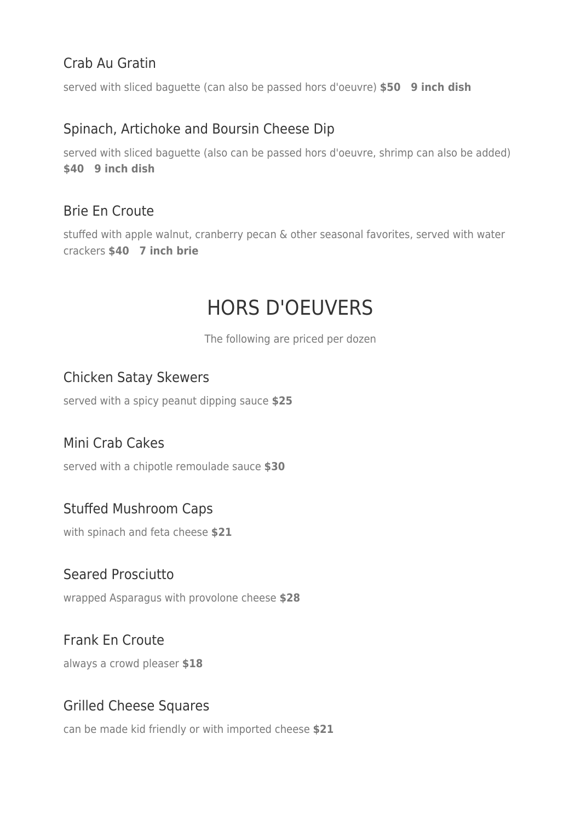# Crab Au Gratin

served with sliced baguette (can also be passed hors d'oeuvre) **\$50 9 inch dish**

### Spinach, Artichoke and Boursin Cheese Dip

served with sliced baguette (also can be passed hors d'oeuvre, shrimp can also be added) **\$40 9 inch dish**

## Brie En Croute

stuffed with apple walnut, cranberry pecan & other seasonal favorites, served with water crackers **\$40 7 inch brie**

# HORS D'OEUVERS

The following are priced per dozen

## Chicken Satay Skewers

served with a spicy peanut dipping sauce **\$25** 

### Mini Crab Cakes

served with a chipotle remoulade sauce **\$30** 

## Stuffed Mushroom Caps

with spinach and feta cheese **\$21** 

### Seared Prosciutto

wrapped Asparagus with provolone cheese **\$28** 

## Frank En Croute

always a crowd pleaser **\$18** 

## Grilled Cheese Squares

can be made kid friendly or with imported cheese **\$21**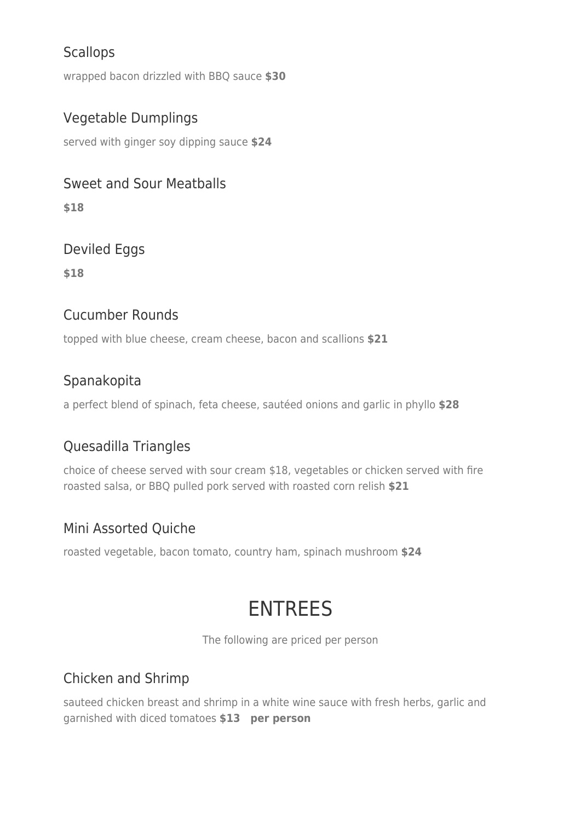# **Scallops**

wrapped bacon drizzled with BBQ sauce **\$30** 

## Vegetable Dumplings

served with ginger soy dipping sauce **\$24** 

### Sweet and Sour Meatballs

**\$18** 

# Deviled Eggs

**\$18** 

### Cucumber Rounds

topped with blue cheese, cream cheese, bacon and scallions **\$21** 

## Spanakopita

a perfect blend of spinach, feta cheese, sautéed onions and garlic in phyllo **\$28** 

# Quesadilla Triangles

choice of cheese served with sour cream \$18, vegetables or chicken served with fire roasted salsa, or BBQ pulled pork served with roasted corn relish **\$21** 

## Mini Assorted Quiche

roasted vegetable, bacon tomato, country ham, spinach mushroom **\$24** 

# ENTREES

The following are priced per person

# Chicken and Shrimp

sauteed chicken breast and shrimp in a white wine sauce with fresh herbs, garlic and garnished with diced tomatoes **\$13 per person**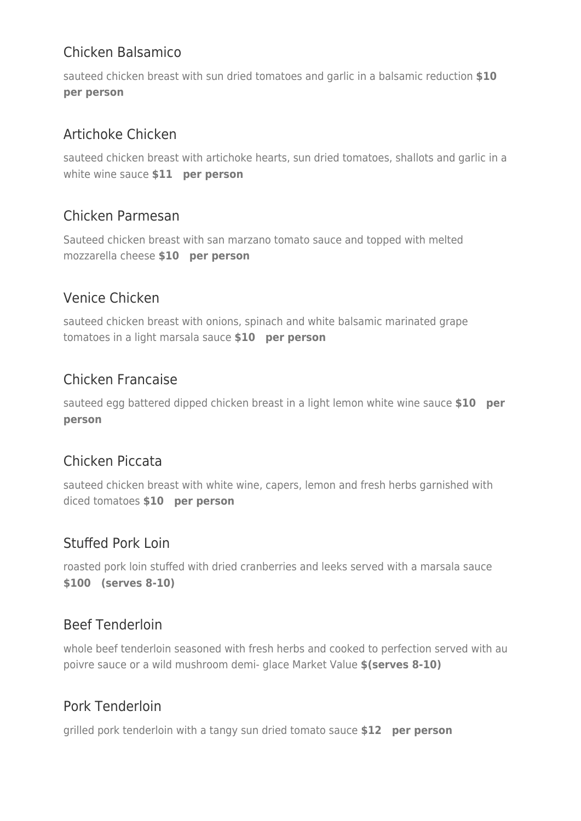# Chicken Balsamico

sauteed chicken breast with sun dried tomatoes and garlic in a balsamic reduction **\$10 per person**

# Artichoke Chicken

sauteed chicken breast with artichoke hearts, sun dried tomatoes, shallots and garlic in a white wine sauce **\$11 per person**

## Chicken Parmesan

Sauteed chicken breast with san marzano tomato sauce and topped with melted mozzarella cheese **\$10 per person**

## Venice Chicken

sauteed chicken breast with onions, spinach and white balsamic marinated grape tomatoes in a light marsala sauce **\$10 per person**

## Chicken Francaise

sauteed egg battered dipped chicken breast in a light lemon white wine sauce **\$10 per person**

## Chicken Piccata

sauteed chicken breast with white wine, capers, lemon and fresh herbs garnished with diced tomatoes **\$10 per person**

## Stuffed Pork Loin

roasted pork loin stuffed with dried cranberries and leeks served with a marsala sauce **\$100 (serves 8-10)**

## Beef Tenderloin

whole beef tenderloin seasoned with fresh herbs and cooked to perfection served with au poivre sauce or a wild mushroom demi- glace Market Value **\$(serves 8-10)** 

## Pork Tenderloin

grilled pork tenderloin with a tangy sun dried tomato sauce **\$12 per person**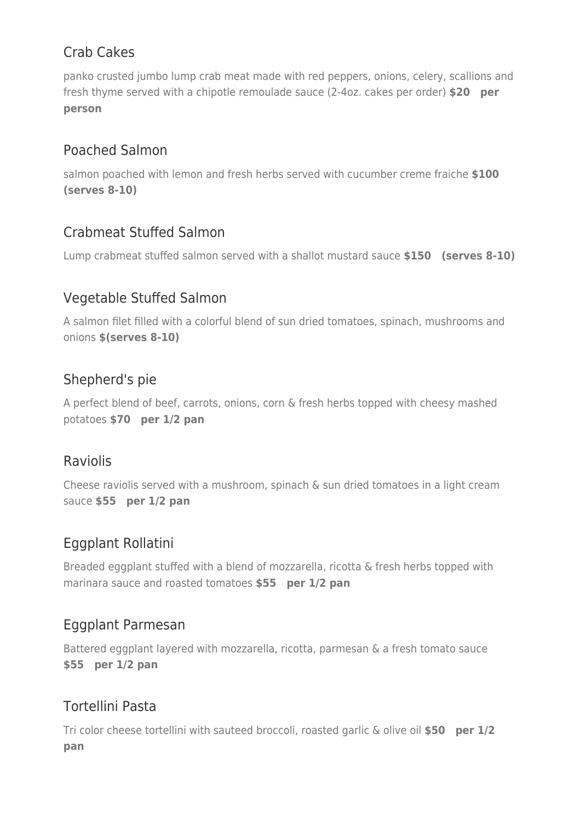# Crab Cakes

panko crusted jumbo lump crab meat made with red peppers, onions, celery, scallions and fresh thyme served with a chipotle remoulade sauce (2-4oz. cakes per order) **\$20 per person**

# Poached Salmon

salmon poached with lemon and fresh herbs served with cucumber creme fraiche **\$100 (serves 8-10)**

## Crabmeat Stuffed Salmon

Lump crabmeat stuffed salmon served with a shallot mustard sauce **\$150 (serves 8-10)**

## Vegetable Stuffed Salmon

A salmon filet filled with a colorful blend of sun dried tomatoes, spinach, mushrooms and onions **\$(serves 8-10)** 

## Shepherd's pie

A perfect blend of beef, carrots, onions, corn & fresh herbs topped with cheesy mashed potatoes **\$70 per 1/2 pan**

### Raviolis

Cheese raviolis served with a mushroom, spinach & sun dried tomatoes in a light cream sauce **\$55 per 1/2 pan**

# Eggplant Rollatini

Breaded eggplant stuffed with a blend of mozzarella, ricotta & fresh herbs topped with marinara sauce and roasted tomatoes **\$55 per 1/2 pan**

## Eggplant Parmesan

Battered eggplant layered with mozzarella, ricotta, parmesan & a fresh tomato sauce **\$55 per 1/2 pan**

# Tortellini Pasta

Tri color cheese tortellini with sauteed broccoli, roasted garlic & olive oil **\$50 per 1/2 pan**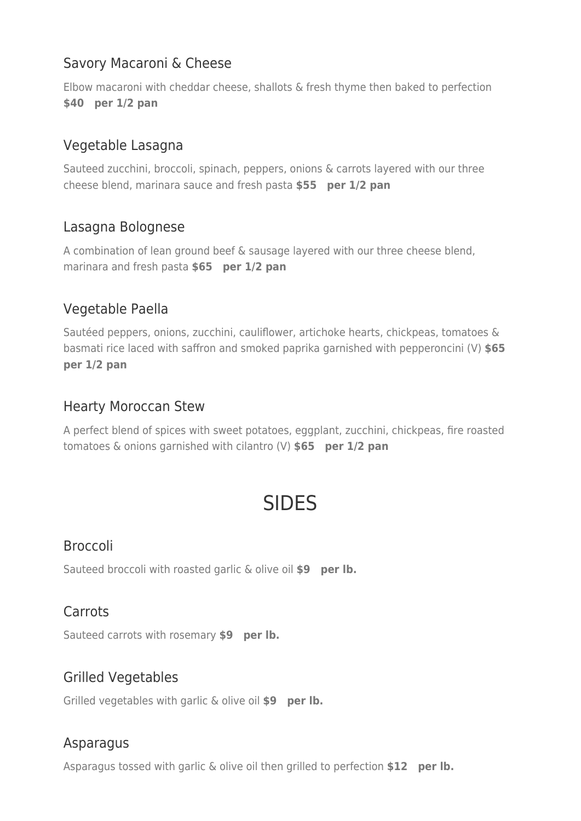# Savory Macaroni & Cheese

Elbow macaroni with cheddar cheese, shallots & fresh thyme then baked to perfection **\$40 per 1/2 pan**

## Vegetable Lasagna

Sauteed zucchini, broccoli, spinach, peppers, onions & carrots layered with our three cheese blend, marinara sauce and fresh pasta **\$55 per 1/2 pan**

## Lasagna Bolognese

A combination of lean ground beef & sausage layered with our three cheese blend, marinara and fresh pasta **\$65 per 1/2 pan**

## Vegetable Paella

Sautéed peppers, onions, zucchini, cauliflower, artichoke hearts, chickpeas, tomatoes & basmati rice laced with saffron and smoked paprika garnished with pepperoncini (V) **\$65 per 1/2 pan**

## Hearty Moroccan Stew

A perfect blend of spices with sweet potatoes, eggplant, zucchini, chickpeas, fire roasted tomatoes & onions garnished with cilantro (V) **\$65 per 1/2 pan**

# SIDES

## Broccoli

Sauteed broccoli with roasted garlic & olive oil **\$9 per lb.**

### Carrots

Sauteed carrots with rosemary **\$9 per lb.**

### Grilled Vegetables

Grilled vegetables with garlic & olive oil **\$9 per lb.**

#### Asparagus

Asparagus tossed with garlic & olive oil then grilled to perfection **\$12 per lb.**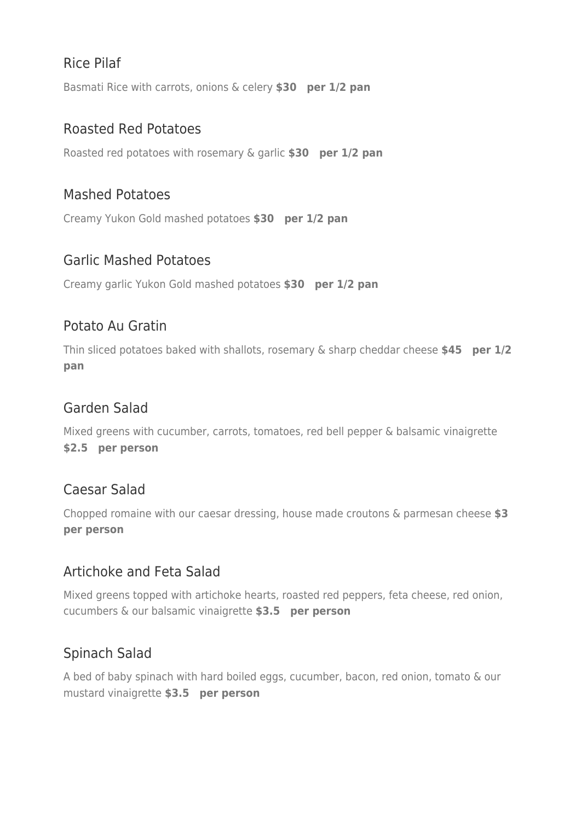# Rice Pilaf

Basmati Rice with carrots, onions & celery **\$30 per 1/2 pan**

#### Roasted Red Potatoes

Roasted red potatoes with rosemary & garlic **\$30 per 1/2 pan**

#### Mashed Potatoes

Creamy Yukon Gold mashed potatoes **\$30 per 1/2 pan**

#### Garlic Mashed Potatoes

Creamy garlic Yukon Gold mashed potatoes **\$30 per 1/2 pan**

### Potato Au Gratin

Thin sliced potatoes baked with shallots, rosemary & sharp cheddar cheese **\$45 per 1/2 pan**

#### Garden Salad

Mixed greens with cucumber, carrots, tomatoes, red bell pepper & balsamic vinaigrette **\$2.5 per person**

### Caesar Salad

Chopped romaine with our caesar dressing, house made croutons & parmesan cheese **\$3 per person**

### Artichoke and Feta Salad

Mixed greens topped with artichoke hearts, roasted red peppers, feta cheese, red onion, cucumbers & our balsamic vinaigrette **\$3.5 per person**

### Spinach Salad

A bed of baby spinach with hard boiled eggs, cucumber, bacon, red onion, tomato & our mustard vinaigrette **\$3.5 per person**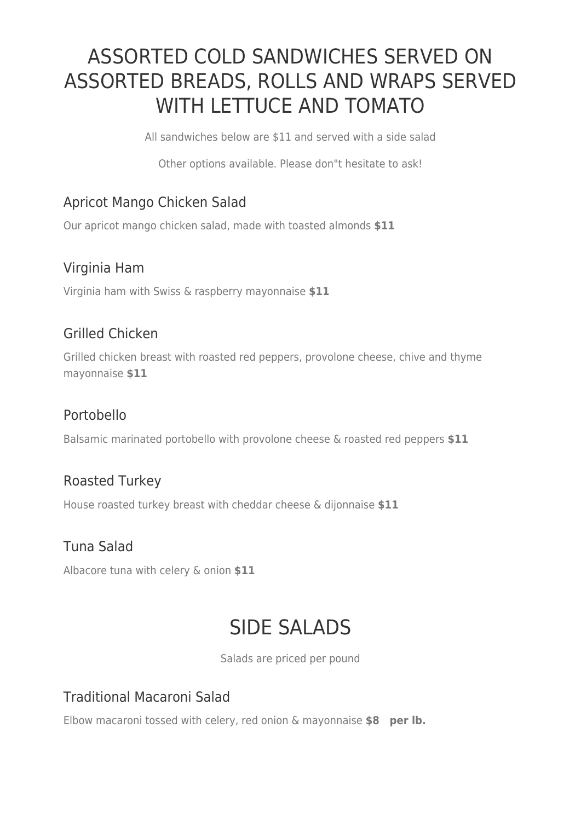# ASSORTED COLD SANDWICHES SERVED ON ASSORTED BREADS, ROLLS AND WRAPS SERVED WITH LETTUCE AND TOMATO

All sandwiches below are \$11 and served with a side salad

Other options available. Please don"t hesitate to ask!

# Apricot Mango Chicken Salad

Our apricot mango chicken salad, made with toasted almonds **\$11** 

## Virginia Ham

Virginia ham with Swiss & raspberry mayonnaise **\$11** 

## Grilled Chicken

Grilled chicken breast with roasted red peppers, provolone cheese, chive and thyme mayonnaise **\$11** 

## Portobello

Balsamic marinated portobello with provolone cheese & roasted red peppers **\$11** 

### Roasted Turkey

House roasted turkey breast with cheddar cheese & dijonnaise **\$11** 

## Tuna Salad

Albacore tuna with celery & onion **\$11** 

# SIDE SALADS

Salads are priced per pound

## Traditional Macaroni Salad

Elbow macaroni tossed with celery, red onion & mayonnaise **\$8 per lb.**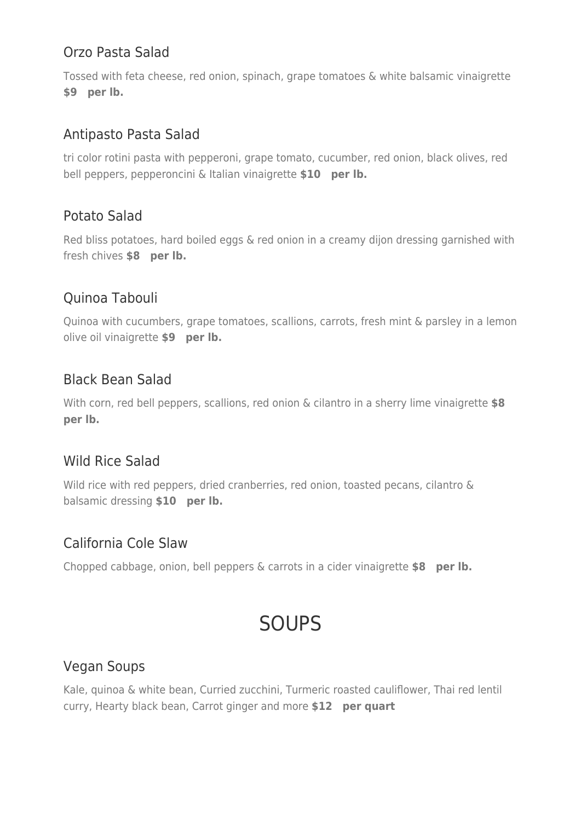## Orzo Pasta Salad

Tossed with feta cheese, red onion, spinach, grape tomatoes & white balsamic vinaigrette **\$9 per lb.**

## Antipasto Pasta Salad

tri color rotini pasta with pepperoni, grape tomato, cucumber, red onion, black olives, red bell peppers, pepperoncini & Italian vinaigrette **\$10 per lb.**

## Potato Salad

Red bliss potatoes, hard boiled eggs & red onion in a creamy dijon dressing garnished with fresh chives **\$8 per lb.**

## Quinoa Tabouli

Quinoa with cucumbers, grape tomatoes, scallions, carrots, fresh mint & parsley in a lemon olive oil vinaigrette **\$9 per lb.**

## Black Bean Salad

With corn, red bell peppers, scallions, red onion & cilantro in a sherry lime vinaigrette **\$8 per lb.**

### Wild Rice Salad

Wild rice with red peppers, dried cranberries, red onion, toasted pecans, cilantro & balsamic dressing **\$10 per lb.**

### California Cole Slaw

Chopped cabbage, onion, bell peppers & carrots in a cider vinaigrette **\$8 per lb.**

# SOUPS

### Vegan Soups

Kale, quinoa & white bean, Curried zucchini, Turmeric roasted cauliflower, Thai red lentil curry, Hearty black bean, Carrot ginger and more **\$12 per quart**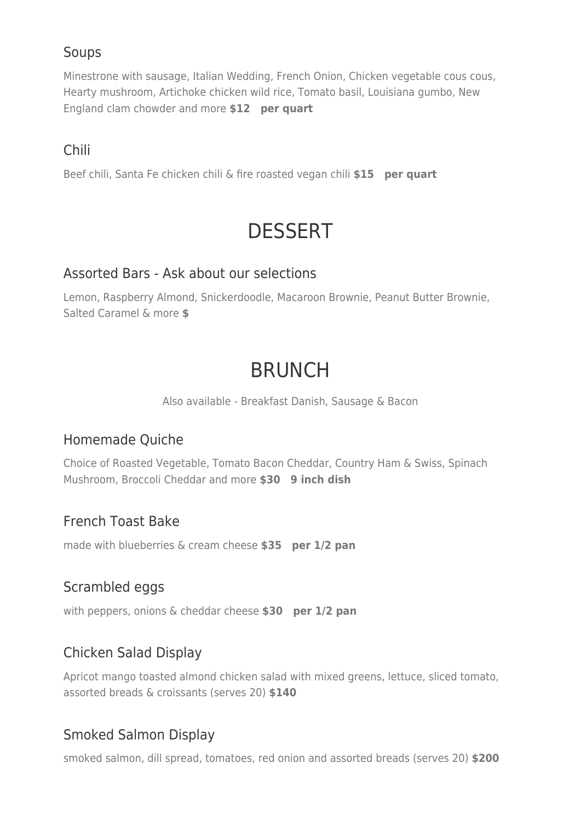## Soups

Minestrone with sausage, Italian Wedding, French Onion, Chicken vegetable cous cous, Hearty mushroom, Artichoke chicken wild rice, Tomato basil, Louisiana gumbo, New England clam chowder and more **\$12 per quart**

## Chili

Beef chili, Santa Fe chicken chili & fire roasted vegan chili **\$15 per quart**

# **DESSERT**

#### Assorted Bars - Ask about our selections

Lemon, Raspberry Almond, Snickerdoodle, Macaroon Brownie, Peanut Butter Brownie, Salted Caramel & more **\$** 

# BRUNCH

Also available - Breakfast Danish, Sausage & Bacon

## Homemade Quiche

Choice of Roasted Vegetable, Tomato Bacon Cheddar, Country Ham & Swiss, Spinach Mushroom, Broccoli Cheddar and more **\$30 9 inch dish**

### French Toast Bake

made with blueberries & cream cheese **\$35 per 1/2 pan**

### Scrambled eggs

with peppers, onions & cheddar cheese **\$30 per 1/2 pan**

## Chicken Salad Display

Apricot mango toasted almond chicken salad with mixed greens, lettuce, sliced tomato, assorted breads & croissants (serves 20) **\$140** 

## Smoked Salmon Display

smoked salmon, dill spread, tomatoes, red onion and assorted breads (serves 20) **\$200**